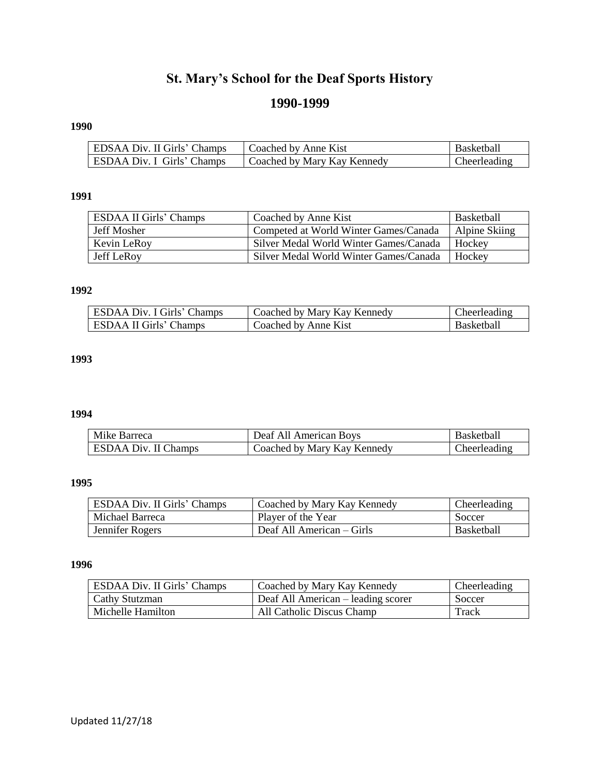# **St. Mary's School for the Deaf Sports History**

## **1990-1999**

# **1990**

| EDSAA Div. II Girls' Champs | Coached by Anne Kist        | <b>Basketball</b> |
|-----------------------------|-----------------------------|-------------------|
| ESDAA Div. I Girls' Champs  | Coached by Mary Kay Kennedy | Cheerleading      |

## **1991**

| <b>ESDAA II Girls' Champs</b> | Coached by Anne Kist                   | <b>Basketball</b> |
|-------------------------------|----------------------------------------|-------------------|
| Jeff Mosher                   | Competed at World Winter Games/Canada  | Alpine Skiing     |
| Kevin LeRoy                   | Silver Medal World Winter Games/Canada | Hockey            |
| Jeff LeRoy                    | Silver Medal World Winter Games/Canada | Hockey            |

## **1992**

| ESDAA Div. I Girls' Champs | Coached by Mary Kay Kennedy | Theerleading |
|----------------------------|-----------------------------|--------------|
| ESDAA II Girls' Champs     | Coached by Anne Kist        | Basketbalı   |

## **1993**

## **1994**

| Mike Barreca                | Deaf All American Boys      | <b>Basketball</b> |
|-----------------------------|-----------------------------|-------------------|
| <b>ESDAA Div. II Champs</b> | Coached by Mary Kay Kennedy | Cheerleading      |

#### **1995**

| ESDAA Div. II Girls' Champs | Coached by Mary Kay Kennedy | Cheerleading      |
|-----------------------------|-----------------------------|-------------------|
| Michael Barreca             | Player of the Year          | Soccer            |
| Jennifer Rogers             | Deaf All American – Girls   | <b>Basketball</b> |

#### **1996**

| ESDAA Div. II Girls' Champs | Coached by Mary Kay Kennedy        | Cheerleading |
|-----------------------------|------------------------------------|--------------|
| <b>Cathy Stutzman</b>       | Deaf All American – leading scorer | Soccer       |
| Michelle Hamilton           | All Catholic Discus Champ          | Track        |